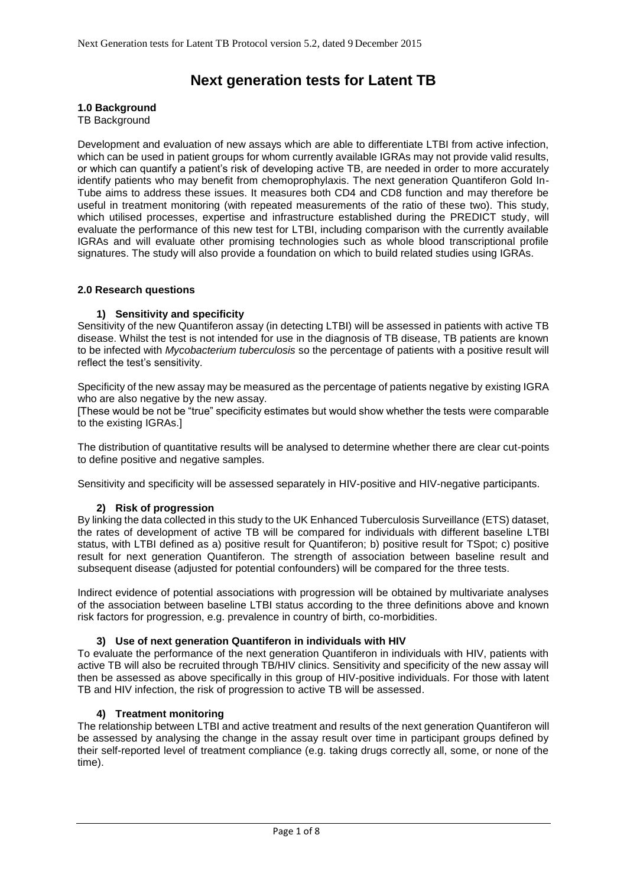# **Next generation tests for Latent TB**

#### **1.0 Background**

TB Background

Development and evaluation of new assays which are able to differentiate LTBI from active infection, which can be used in patient groups for whom currently available IGRAs may not provide valid results, or which can quantify a patient's risk of developing active TB, are needed in order to more accurately identify patients who may benefit from chemoprophylaxis. The next generation Quantiferon Gold In-Tube aims to address these issues. It measures both CD4 and CD8 function and may therefore be useful in treatment monitoring (with repeated measurements of the ratio of these two). This study, which utilised processes, expertise and infrastructure established during the PREDICT study, will evaluate the performance of this new test for LTBI, including comparison with the currently available IGRAs and will evaluate other promising technologies such as whole blood transcriptional profile signatures. The study will also provide a foundation on which to build related studies using IGRAs.

#### **2.0 Research questions**

## **1) Sensitivity and specificity**

Sensitivity of the new Quantiferon assay (in detecting LTBI) will be assessed in patients with active TB disease. Whilst the test is not intended for use in the diagnosis of TB disease, TB patients are known to be infected with *Mycobacterium tuberculosis* so the percentage of patients with a positive result will reflect the test's sensitivity.

Specificity of the new assay may be measured as the percentage of patients negative by existing IGRA who are also negative by the new assay.

[These would be not be "true" specificity estimates but would show whether the tests were comparable to the existing IGRAs.]

The distribution of quantitative results will be analysed to determine whether there are clear cut-points to define positive and negative samples.

Sensitivity and specificity will be assessed separately in HIV-positive and HIV-negative participants.

## **2) Risk of progression**

By linking the data collected in this study to the UK Enhanced Tuberculosis Surveillance (ETS) dataset, the rates of development of active TB will be compared for individuals with different baseline LTBI status, with LTBI defined as a) positive result for Quantiferon; b) positive result for TSpot; c) positive result for next generation Quantiferon. The strength of association between baseline result and subsequent disease (adjusted for potential confounders) will be compared for the three tests.

Indirect evidence of potential associations with progression will be obtained by multivariate analyses of the association between baseline LTBI status according to the three definitions above and known risk factors for progression, e.g. prevalence in country of birth, co-morbidities.

## **3) Use of next generation Quantiferon in individuals with HIV**

To evaluate the performance of the next generation Quantiferon in individuals with HIV, patients with active TB will also be recruited through TB/HIV clinics. Sensitivity and specificity of the new assay will then be assessed as above specifically in this group of HIV-positive individuals. For those with latent TB and HIV infection, the risk of progression to active TB will be assessed.

## **4) Treatment monitoring**

The relationship between LTBI and active treatment and results of the next generation Quantiferon will be assessed by analysing the change in the assay result over time in participant groups defined by their self-reported level of treatment compliance (e.g. taking drugs correctly all, some, or none of the time).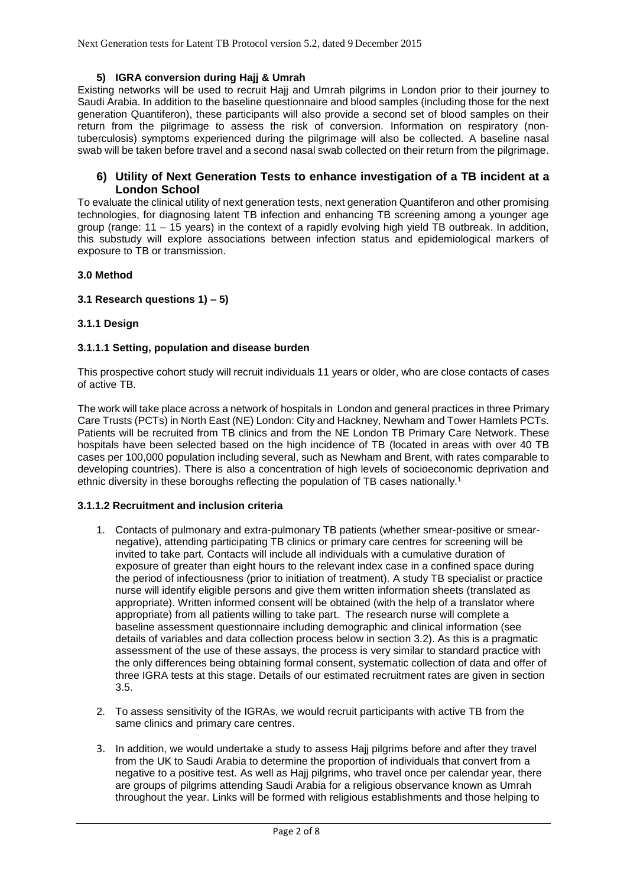# **5) IGRA conversion during Hajj & Umrah**

Existing networks will be used to recruit Hajj and Umrah pilgrims in London prior to their journey to Saudi Arabia. In addition to the baseline questionnaire and blood samples (including those for the next generation Quantiferon), these participants will also provide a second set of blood samples on their return from the pilgrimage to assess the risk of conversion. Information on respiratory (nontuberculosis) symptoms experienced during the pilgrimage will also be collected. A baseline nasal swab will be taken before travel and a second nasal swab collected on their return from the pilgrimage.

# **6) Utility of Next Generation Tests to enhance investigation of a TB incident at a London School**

To evaluate the clinical utility of next generation tests, next generation Quantiferon and other promising technologies, for diagnosing latent TB infection and enhancing TB screening among a younger age group (range: 11 – 15 years) in the context of a rapidly evolving high yield TB outbreak. In addition, this substudy will explore associations between infection status and epidemiological markers of exposure to TB or transmission.

## **3.0 Method**

## **3.1 Research questions 1) – 5)**

# **3.1.1 Design**

## **3.1.1.1 Setting, population and disease burden**

This prospective cohort study will recruit individuals 11 years or older, who are close contacts of cases of active TB.

The work will take place across a network of hospitals in London and general practices in three Primary Care Trusts (PCTs) in North East (NE) London: City and Hackney, Newham and Tower Hamlets PCTs. Patients will be recruited from TB clinics and from the NE London TB Primary Care Network. These hospitals have been selected based on the high incidence of TB (located in areas with over 40 TB cases per 100,000 population including several, such as Newham and Brent, with rates comparable to developing countries). There is also a concentration of high levels of socioeconomic deprivation and ethnic diversity in these boroughs reflecting the population of TB cases nationally. 1

## **3.1.1.2 Recruitment and inclusion criteria**

- 1. Contacts of pulmonary and extra-pulmonary TB patients (whether smear-positive or smearnegative), attending participating TB clinics or primary care centres for screening will be invited to take part. Contacts will include all individuals with a cumulative duration of exposure of greater than eight hours to the relevant index case in a confined space during the period of infectiousness (prior to initiation of treatment). A study TB specialist or practice nurse will identify eligible persons and give them written information sheets (translated as appropriate). Written informed consent will be obtained (with the help of a translator where appropriate) from all patients willing to take part. The research nurse will complete a baseline assessment questionnaire including demographic and clinical information (see details of variables and data collection process below in section 3.2). As this is a pragmatic assessment of the use of these assays, the process is very similar to standard practice with the only differences being obtaining formal consent, systematic collection of data and offer of three IGRA tests at this stage. Details of our estimated recruitment rates are given in section 3.5.
- 2. To assess sensitivity of the IGRAs, we would recruit participants with active TB from the same clinics and primary care centres.
- 3. In addition, we would undertake a study to assess Hajj pilgrims before and after they travel from the UK to Saudi Arabia to determine the proportion of individuals that convert from a negative to a positive test. As well as Hajj pilgrims, who travel once per calendar year, there are groups of pilgrims attending Saudi Arabia for a religious observance known as Umrah throughout the year. Links will be formed with religious establishments and those helping to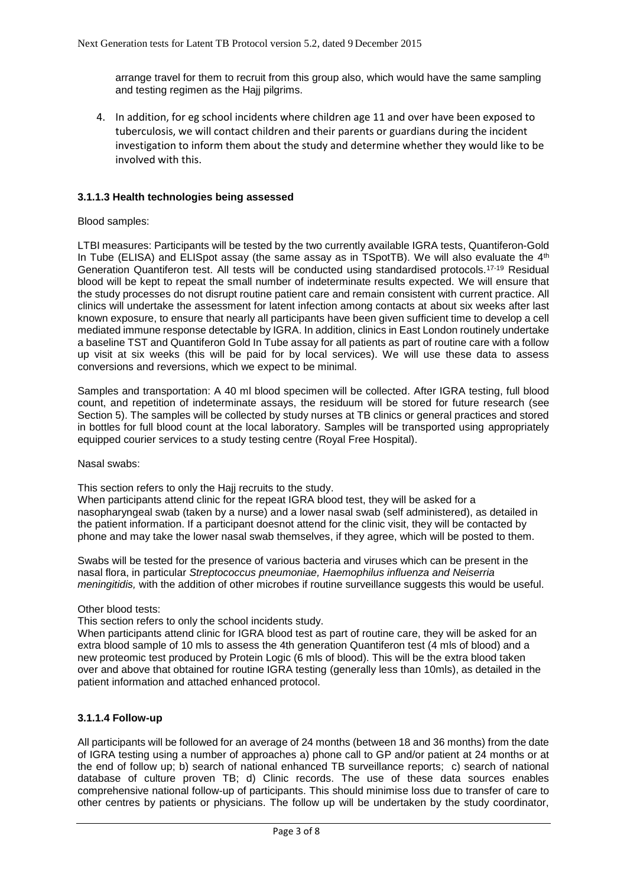arrange travel for them to recruit from this group also, which would have the same sampling and testing regimen as the Hajj pilgrims.

4. In addition, for eg school incidents where children age 11 and over have been exposed to tuberculosis, we will contact children and their parents or guardians during the incident investigation to inform them about the study and determine whether they would like to be involved with this.

## **3.1.1.3 Health technologies being assessed**

#### Blood samples:

LTBI measures: Participants will be tested by the two currently available IGRA tests, Quantiferon-Gold In Tube (ELISA) and ELISpot assay (the same assay as in TSpotTB). We will also evaluate the  $4<sup>th</sup>$ Generation Quantiferon test. All tests will be conducted using standardised protocols.17-19 Residual blood will be kept to repeat the small number of indeterminate results expected. We will ensure that the study processes do not disrupt routine patient care and remain consistent with current practice. All clinics will undertake the assessment for latent infection among contacts at about six weeks after last known exposure, to ensure that nearly all participants have been given sufficient time to develop a cell mediated immune response detectable by IGRA. In addition, clinics in East London routinely undertake a baseline TST and Quantiferon Gold In Tube assay for all patients as part of routine care with a follow up visit at six weeks (this will be paid for by local services). We will use these data to assess conversions and reversions, which we expect to be minimal.

Samples and transportation: A 40 ml blood specimen will be collected. After IGRA testing, full blood count, and repetition of indeterminate assays, the residuum will be stored for future research (see Section 5). The samples will be collected by study nurses at TB clinics or general practices and stored in bottles for full blood count at the local laboratory. Samples will be transported using appropriately equipped courier services to a study testing centre (Royal Free Hospital).

#### Nasal swabs:

This section refers to only the Haij recruits to the study.

When participants attend clinic for the repeat IGRA blood test, they will be asked for a nasopharyngeal swab (taken by a nurse) and a lower nasal swab (self administered), as detailed in the patient information. If a participant doesnot attend for the clinic visit, they will be contacted by phone and may take the lower nasal swab themselves, if they agree, which will be posted to them.

Swabs will be tested for the presence of various bacteria and viruses which can be present in the nasal flora, in particular *Streptococcus pneumoniae, Haemophilus influenza and Neiserria meningitidis,* with the addition of other microbes if routine surveillance suggests this would be useful.

## Other blood tests:

This section refers to only the school incidents study.

When participants attend clinic for IGRA blood test as part of routine care, they will be asked for an extra blood sample of 10 mls to assess the 4th generation Quantiferon test (4 mls of blood) and a new proteomic test produced by Protein Logic (6 mls of blood). This will be the extra blood taken over and above that obtained for routine IGRA testing (generally less than 10mls), as detailed in the patient information and attached enhanced protocol.

## **3.1.1.4 Follow-up**

All participants will be followed for an average of 24 months (between 18 and 36 months) from the date of IGRA testing using a number of approaches a) phone call to GP and/or patient at 24 months or at the end of follow up; b) search of national enhanced TB surveillance reports; c) search of national database of culture proven TB; d) Clinic records. The use of these data sources enables comprehensive national follow-up of participants. This should minimise loss due to transfer of care to other centres by patients or physicians. The follow up will be undertaken by the study coordinator,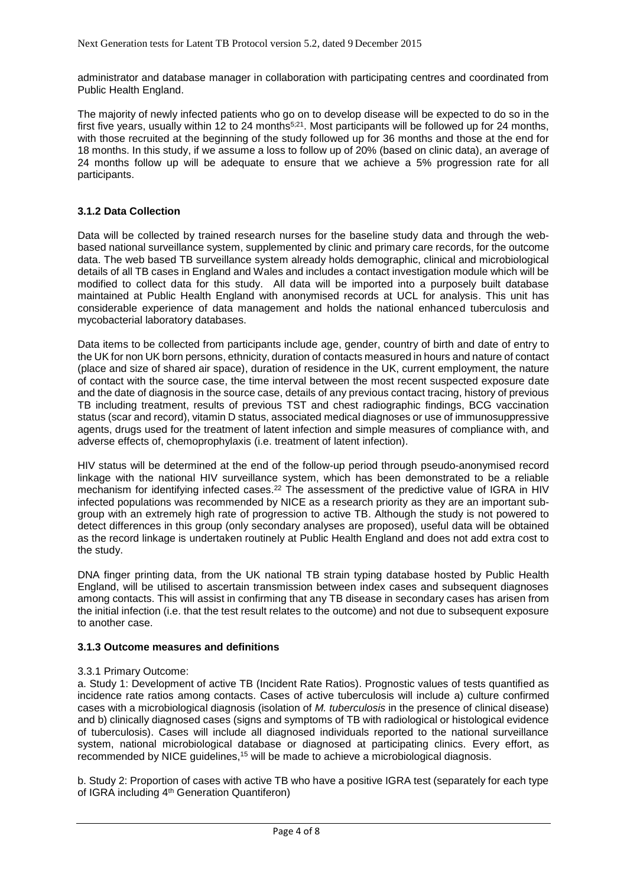administrator and database manager in collaboration with participating centres and coordinated from Public Health England.

The majority of newly infected patients who go on to develop disease will be expected to do so in the first five years, usually within 12 to 24 months<sup>5;21</sup>. Most participants will be followed up for 24 months, with those recruited at the beginning of the study followed up for 36 months and those at the end for 18 months. In this study, if we assume a loss to follow up of 20% (based on clinic data), an average of 24 months follow up will be adequate to ensure that we achieve a 5% progression rate for all participants.

# **3.1.2 Data Collection**

Data will be collected by trained research nurses for the baseline study data and through the webbased national surveillance system, supplemented by clinic and primary care records, for the outcome data. The web based TB surveillance system already holds demographic, clinical and microbiological details of all TB cases in England and Wales and includes a contact investigation module which will be modified to collect data for this study. All data will be imported into a purposely built database maintained at Public Health England with anonymised records at UCL for analysis. This unit has considerable experience of data management and holds the national enhanced tuberculosis and mycobacterial laboratory databases.

Data items to be collected from participants include age, gender, country of birth and date of entry to the UK for non UK born persons, ethnicity, duration of contacts measured in hours and nature of contact (place and size of shared air space), duration of residence in the UK, current employment, the nature of contact with the source case, the time interval between the most recent suspected exposure date and the date of diagnosis in the source case, details of any previous contact tracing, history of previous TB including treatment, results of previous TST and chest radiographic findings, BCG vaccination status (scar and record), vitamin D status, associated medical diagnoses or use of immunosuppressive agents, drugs used for the treatment of latent infection and simple measures of compliance with, and adverse effects of, chemoprophylaxis (i.e. treatment of latent infection).

HIV status will be determined at the end of the follow-up period through pseudo-anonymised record linkage with the national HIV surveillance system, which has been demonstrated to be a reliable mechanism for identifying infected cases.<sup>22</sup> The assessment of the predictive value of IGRA in HIV infected populations was recommended by NICE as a research priority as they are an important subgroup with an extremely high rate of progression to active TB. Although the study is not powered to detect differences in this group (only secondary analyses are proposed), useful data will be obtained as the record linkage is undertaken routinely at Public Health England and does not add extra cost to the study.

DNA finger printing data, from the UK national TB strain typing database hosted by Public Health England, will be utilised to ascertain transmission between index cases and subsequent diagnoses among contacts. This will assist in confirming that any TB disease in secondary cases has arisen from the initial infection (i.e. that the test result relates to the outcome) and not due to subsequent exposure to another case.

## **3.1.3 Outcome measures and definitions**

## 3.3.1 Primary Outcome:

a. Study 1: Development of active TB (Incident Rate Ratios). Prognostic values of tests quantified as incidence rate ratios among contacts. Cases of active tuberculosis will include a) culture confirmed cases with a microbiological diagnosis (isolation of *M. tuberculosis* in the presence of clinical disease) and b) clinically diagnosed cases (signs and symptoms of TB with radiological or histological evidence of tuberculosis). Cases will include all diagnosed individuals reported to the national surveillance system, national microbiological database or diagnosed at participating clinics. Every effort, as recommended by NICE guidelines,<sup>15</sup> will be made to achieve a microbiological diagnosis.

b. Study 2: Proportion of cases with active TB who have a positive IGRA test (separately for each type of IGRA including 4th Generation Quantiferon)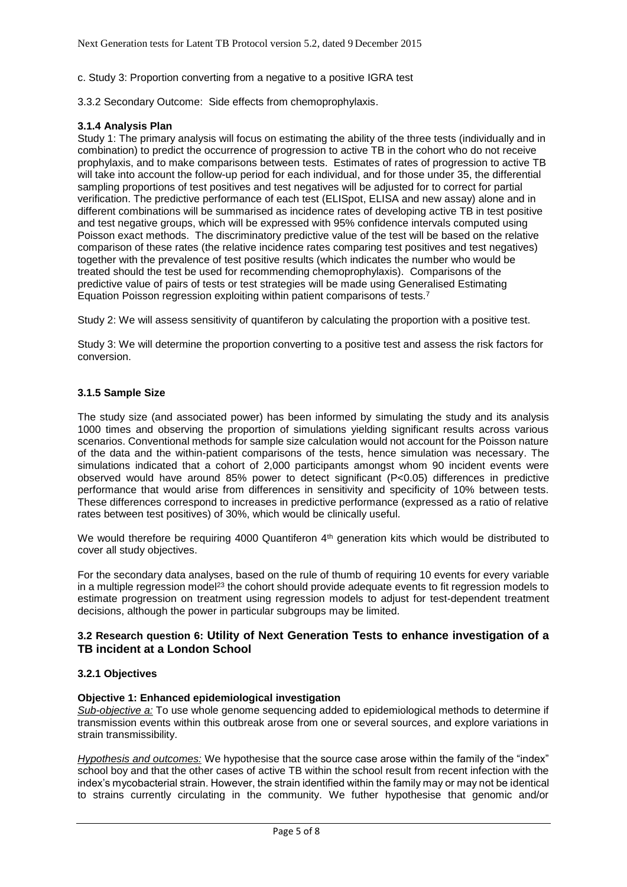c. Study 3: Proportion converting from a negative to a positive IGRA test

3.3.2 Secondary Outcome: Side effects from chemoprophylaxis.

# **3.1.4 Analysis Plan**

Study 1: The primary analysis will focus on estimating the ability of the three tests (individually and in combination) to predict the occurrence of progression to active TB in the cohort who do not receive prophylaxis, and to make comparisons between tests. Estimates of rates of progression to active TB will take into account the follow-up period for each individual, and for those under 35, the differential sampling proportions of test positives and test negatives will be adjusted for to correct for partial verification. The predictive performance of each test (ELISpot, ELISA and new assay) alone and in different combinations will be summarised as incidence rates of developing active TB in test positive and test negative groups, which will be expressed with 95% confidence intervals computed using Poisson exact methods. The discriminatory predictive value of the test will be based on the relative comparison of these rates (the relative incidence rates comparing test positives and test negatives) together with the prevalence of test positive results (which indicates the number who would be treated should the test be used for recommending chemoprophylaxis). Comparisons of the predictive value of pairs of tests or test strategies will be made using Generalised Estimating Equation Poisson regression exploiting within patient comparisons of tests.<sup>7</sup>

Study 2: We will assess sensitivity of quantiferon by calculating the proportion with a positive test.

Study 3: We will determine the proportion converting to a positive test and assess the risk factors for conversion.

## **3.1.5 Sample Size**

The study size (and associated power) has been informed by simulating the study and its analysis 1000 times and observing the proportion of simulations yielding significant results across various scenarios. Conventional methods for sample size calculation would not account for the Poisson nature of the data and the within-patient comparisons of the tests, hence simulation was necessary. The simulations indicated that a cohort of 2,000 participants amongst whom 90 incident events were observed would have around 85% power to detect significant (P<0.05) differences in predictive performance that would arise from differences in sensitivity and specificity of 10% between tests. These differences correspond to increases in predictive performance (expressed as a ratio of relative rates between test positives) of 30%, which would be clinically useful.

We would therefore be requiring 4000 Quantiferon  $4<sup>th</sup>$  generation kits which would be distributed to cover all study objectives.

For the secondary data analyses, based on the rule of thumb of requiring 10 events for every variable in a multiple regression model<sup>23</sup> the cohort should provide adequate events to fit regression models to estimate progression on treatment using regression models to adjust for test-dependent treatment decisions, although the power in particular subgroups may be limited.

# **3.2 Research question 6: Utility of Next Generation Tests to enhance investigation of a TB incident at a London School**

## **3.2.1 Objectives**

## **Objective 1: Enhanced epidemiological investigation**

*Sub-objective a:* To use whole genome sequencing added to epidemiological methods to determine if transmission events within this outbreak arose from one or several sources, and explore variations in strain transmissibility.

*Hypothesis and outcomes:* We hypothesise that the source case arose within the family of the "index" school boy and that the other cases of active TB within the school result from recent infection with the index's mycobacterial strain. However, the strain identified within the family may or may not be identical to strains currently circulating in the community. We futher hypothesise that genomic and/or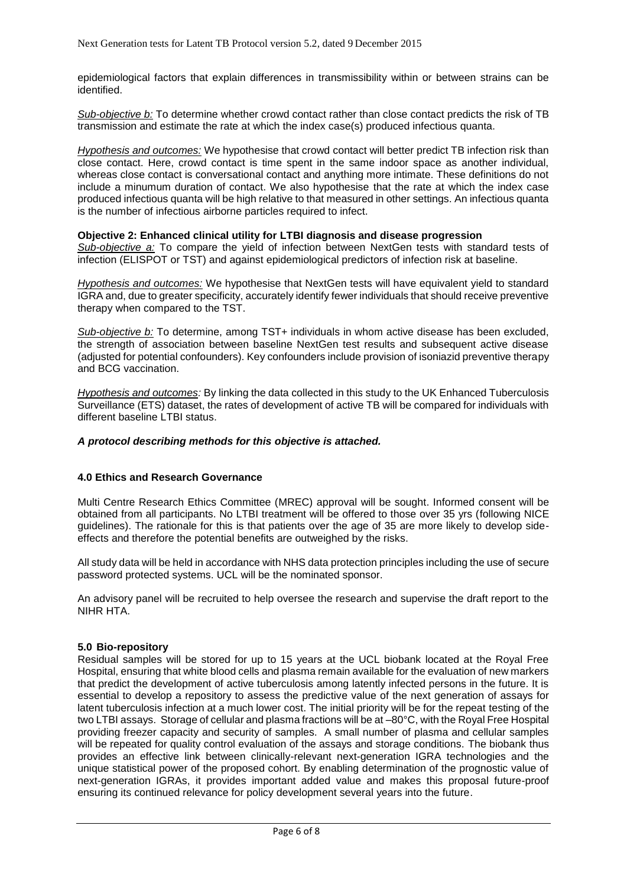epidemiological factors that explain differences in transmissibility within or between strains can be identified.

*Sub-objective b:* To determine whether crowd contact rather than close contact predicts the risk of TB transmission and estimate the rate at which the index case(s) produced infectious quanta.

*Hypothesis and outcomes:* We hypothesise that crowd contact will better predict TB infection risk than close contact. Here, crowd contact is time spent in the same indoor space as another individual, whereas close contact is conversational contact and anything more intimate. These definitions do not include a minumum duration of contact. We also hypothesise that the rate at which the index case produced infectious quanta will be high relative to that measured in other settings. An infectious quanta is the number of infectious airborne particles required to infect.

#### **Objective 2: Enhanced clinical utility for LTBI diagnosis and disease progression**

*Sub-objective a:* To compare the yield of infection between NextGen tests with standard tests of infection (ELISPOT or TST) and against epidemiological predictors of infection risk at baseline.

*Hypothesis and outcomes:* We hypothesise that NextGen tests will have equivalent yield to standard IGRA and, due to greater specificity, accurately identify fewer individuals that should receive preventive therapy when compared to the TST.

*Sub-objective b:* To determine, among TST+ individuals in whom active disease has been excluded, the strength of association between baseline NextGen test results and subsequent active disease (adjusted for potential confounders). Key confounders include provision of isoniazid preventive therapy and BCG vaccination.

*Hypothesis and outcomes:* By linking the data collected in this study to the UK Enhanced Tuberculosis Surveillance (ETS) dataset, the rates of development of active TB will be compared for individuals with different baseline LTBI status.

#### *A protocol describing methods for this objective is attached.*

## **4.0 Ethics and Research Governance**

Multi Centre Research Ethics Committee (MREC) approval will be sought. Informed consent will be obtained from all participants. No LTBI treatment will be offered to those over 35 yrs (following NICE guidelines). The rationale for this is that patients over the age of 35 are more likely to develop sideeffects and therefore the potential benefits are outweighed by the risks.

All study data will be held in accordance with NHS data protection principles including the use of secure password protected systems. UCL will be the nominated sponsor.

An advisory panel will be recruited to help oversee the research and supervise the draft report to the NIHR HTA.

#### **5.0 Bio-repository**

Residual samples will be stored for up to 15 years at the UCL biobank located at the Royal Free Hospital, ensuring that white blood cells and plasma remain available for the evaluation of new markers that predict the development of active tuberculosis among latently infected persons in the future. It is essential to develop a repository to assess the predictive value of the next generation of assays for latent tuberculosis infection at a much lower cost. The initial priority will be for the repeat testing of the two LTBI assays. Storage of cellular and plasma fractions will be at –80°C, with the Royal Free Hospital providing freezer capacity and security of samples. A small number of plasma and cellular samples will be repeated for quality control evaluation of the assays and storage conditions. The biobank thus provides an effective link between clinically-relevant next-generation IGRA technologies and the unique statistical power of the proposed cohort. By enabling determination of the prognostic value of next-generation IGRAs, it provides important added value and makes this proposal future-proof ensuring its continued relevance for policy development several years into the future.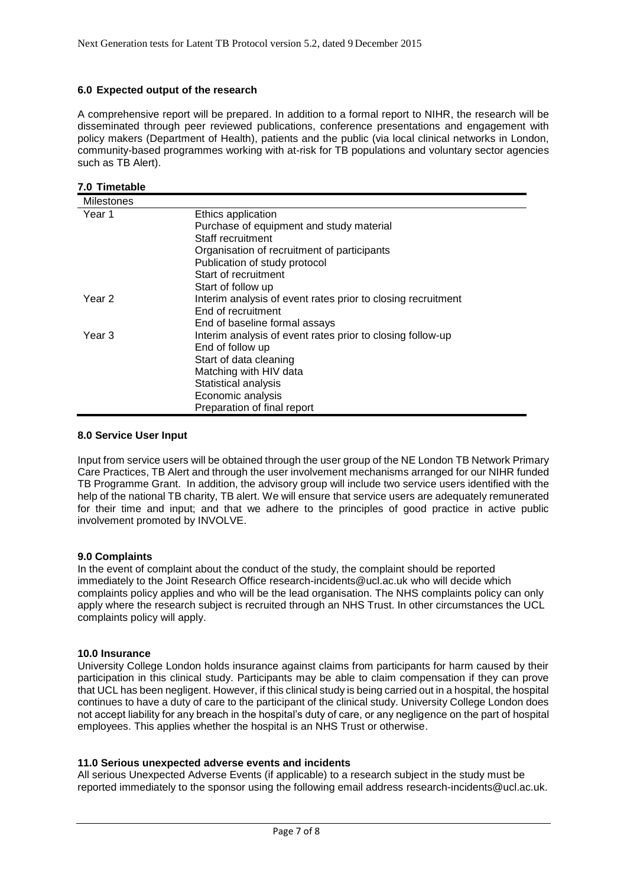## **6.0 Expected output of the research**

A comprehensive report will be prepared. In addition to a formal report to NIHR, the research will be disseminated through peer reviewed publications, conference presentations and engagement with policy makers (Department of Health), patients and the public (via local clinical networks in London, community-based programmes working with at-risk for TB populations and voluntary sector agencies such as TB Alert).

#### **7.0 Timetable**

| <b>Milestones</b> |                                                              |
|-------------------|--------------------------------------------------------------|
| Year 1            | Ethics application                                           |
|                   | Purchase of equipment and study material                     |
|                   | Staff recruitment                                            |
|                   | Organisation of recruitment of participants                  |
|                   | Publication of study protocol                                |
|                   | Start of recruitment                                         |
|                   | Start of follow up                                           |
| Year 2            | Interim analysis of event rates prior to closing recruitment |
|                   | End of recruitment                                           |
|                   | End of baseline formal assays                                |
| Year 3            | Interim analysis of event rates prior to closing follow-up   |
|                   | End of follow up                                             |
|                   | Start of data cleaning                                       |
|                   | Matching with HIV data                                       |
|                   | Statistical analysis                                         |
|                   | Economic analysis                                            |
|                   | Preparation of final report                                  |

#### **8.0 Service User Input**

Input from service users will be obtained through the user group of the NE London TB Network Primary Care Practices, TB Alert and through the user involvement mechanisms arranged for our NIHR funded TB Programme Grant. In addition, the advisory group will include two service users identified with the help of the national TB charity, TB alert. We will ensure that service users are adequately remunerated for their time and input; and that we adhere to the principles of good practice in active public involvement promoted by INVOLVE.

#### **9.0 Complaints**

In the event of complaint about the conduct of the study, the complaint should be reported immediately to the Joint Research Office research-incidents@ucl.ac.uk who will decide which complaints policy applies and who will be the lead organisation. The NHS complaints policy can only apply where the research subject is recruited through an NHS Trust. In other circumstances the UCL complaints policy will apply.

#### **10.0 Insurance**

University College London holds insurance against claims from participants for harm caused by their participation in this clinical study. Participants may be able to claim compensation if they can prove that UCL has been negligent. However, if this clinical study is being carried out in a hospital, the hospital continues to have a duty of care to the participant of the clinical study. University College London does not accept liability for any breach in the hospital's duty of care, or any negligence on the part of hospital employees. This applies whether the hospital is an NHS Trust or otherwise.

#### **11.0 Serious unexpected adverse events and incidents**

All serious Unexpected Adverse Events (if applicable) to a research subject in the study must be reported immediately to the sponsor using the following email address research-incidents@ucl.ac.uk.